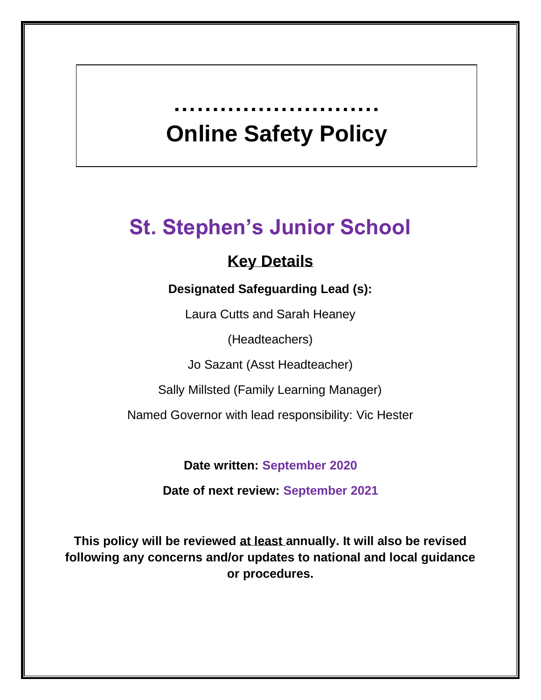# **Online Safety Policy**

**………………………** 

## **St. Stephen's Junior School**

### **Key Details**

#### **Designated Safeguarding Lead (s):**

Laura Cutts and Sarah Heaney

(Headteachers)

Jo Sazant (Asst Headteacher)

Sally Millsted (Family Learning Manager)

Named Governor with lead responsibility: Vic Hester

**Date written: September 2020**

**Date of next review: September 2021**

**This policy will be reviewed at least annually. It will also be revised following any concerns and/or updates to national and local guidance or procedures.**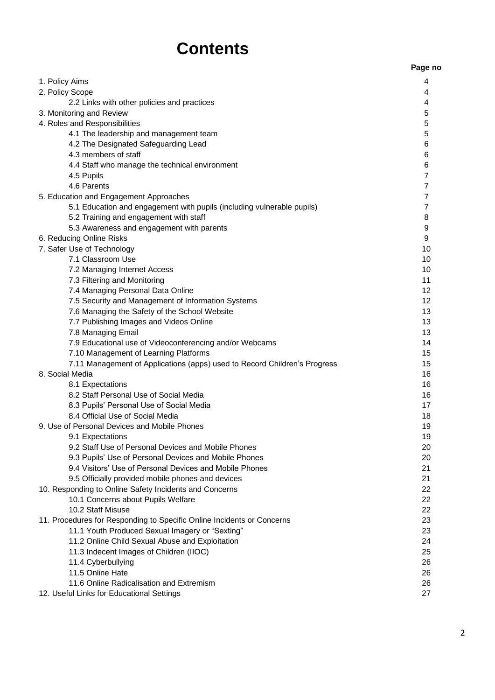## **Contents**

|                                                                           | Page no        |
|---------------------------------------------------------------------------|----------------|
| 1. Policy Aims                                                            | 4              |
| 2. Policy Scope                                                           | 4              |
| 2.2 Links with other policies and practices                               | 4              |
| 3. Monitoring and Review                                                  | 5              |
| 4. Roles and Responsibilities                                             | 5              |
| 4.1 The leadership and management team                                    | 5              |
| 4.2 The Designated Safeguarding Lead                                      | 6              |
| 4.3 members of staff                                                      | 6              |
| 4.4 Staff who manage the technical environment                            | 6              |
| 4.5 Pupils                                                                | 7              |
| 4.6 Parents                                                               | 7              |
| 5. Education and Engagement Approaches                                    | 7              |
| 5.1 Education and engagement with pupils (including vulnerable pupils)    | $\overline{7}$ |
| 5.2 Training and engagement with staff                                    | 8              |
| 5.3 Awareness and engagement with parents                                 | 9              |
| 6. Reducing Online Risks                                                  | 9              |
| 7. Safer Use of Technology                                                | 10             |
| 7.1 Classroom Use                                                         | 10             |
| 7.2 Managing Internet Access                                              | 10             |
| 7.3 Filtering and Monitoring                                              | 11             |
| 7.4 Managing Personal Data Online                                         | 12             |
| 7.5 Security and Management of Information Systems                        | 12             |
| 7.6 Managing the Safety of the School Website                             | 13             |
| 7.7 Publishing Images and Videos Online                                   | 13             |
| 7.8 Managing Email                                                        | 13             |
| 7.9 Educational use of Videoconferencing and/or Webcams                   | 14             |
| 7.10 Management of Learning Platforms                                     | 15             |
| 7.11 Management of Applications (apps) used to Record Children's Progress | 15             |
| 8. Social Media                                                           | 16             |
| 8.1 Expectations                                                          | 16             |
| 8.2 Staff Personal Use of Social Media                                    | 16             |
| 8.3 Pupils' Personal Use of Social Media                                  | 17             |
| 8.4 Official Use of Social Media                                          | 18             |
| 9. Use of Personal Devices and Mobile Phones                              | 19             |
| 9.1 Expectations                                                          | 19             |
| 9.2 Staff Use of Personal Devices and Mobile Phones                       | 20             |
| 9.3 Pupils' Use of Personal Devices and Mobile Phones                     | 20             |
| 9.4 Visitors' Use of Personal Devices and Mobile Phones                   | 21             |
| 9.5 Officially provided mobile phones and devices                         | 21             |
| 10. Responding to Online Safety Incidents and Concerns                    | 22             |
| 10.1 Concerns about Pupils Welfare                                        | 22             |
| 10.2 Staff Misuse                                                         | 22             |
| 11. Procedures for Responding to Specific Online Incidents or Concerns    | 23             |
| 11.1 Youth Produced Sexual Imagery or "Sexting"                           | 23             |
| 11.2 Online Child Sexual Abuse and Exploitation                           | 24             |
| 11.3 Indecent Images of Children (IIOC)                                   | 25             |
| 11.4 Cyberbullying                                                        | 26             |
| 11.5 Online Hate                                                          | 26             |
| 11.6 Online Radicalisation and Extremism                                  | 26             |
| 12. Useful Links for Educational Settings                                 | 27             |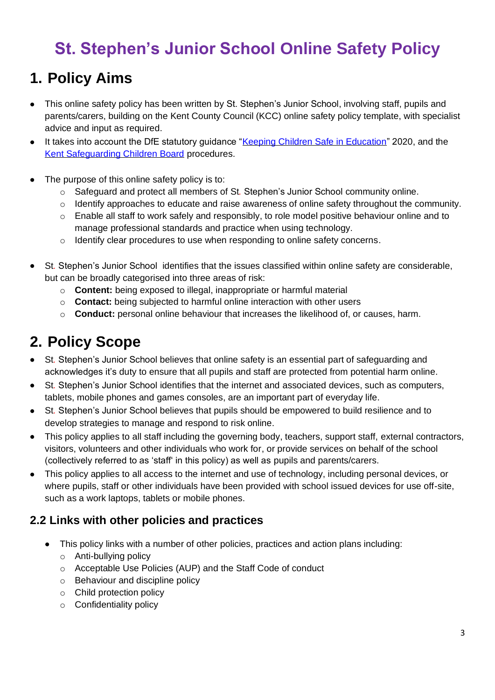## **St. Stephen's Junior School Online Safety Policy**

## **1. Policy Aims**

- This online safety policy has been written by St. Stephen's Junior School, involving staff, pupils and parents/carers, building on the Kent County Council (KCC) online safety policy template, with specialist advice and input as required.
- It takes into account the DfE statutory guidance ["Keeping Children Safe in Education"](https://www.gov.uk/government/publications/keeping-children-safe-in-education--2) 2020, and the [Kent Safeguarding Children Board](http://www.kscb.org.uk/) procedures.
- The purpose of this online safety policy is to:
	- o Safeguard and protect all members of St*.* Stephen's Junior School community online.
	- o Identify approaches to educate and raise awareness of online safety throughout the community.
	- $\circ$  Enable all staff to work safely and responsibly, to role model positive behaviour online and to manage professional standards and practice when using technology.
	- o Identify clear procedures to use when responding to online safety concerns.
- St*.* Stephen's Junior School identifies that the issues classified within online safety are considerable, but can be broadly categorised into three areas of risk:
	- o **Content:** being exposed to illegal, inappropriate or harmful material
	- o **Contact:** being subjected to harmful online interaction with other users
	- o **Conduct:** personal online behaviour that increases the likelihood of, or causes, harm.

## **2. Policy Scope**

- St*.* Stephen's Junior School believes that online safety is an essential part of safeguarding and acknowledges it's duty to ensure that all pupils and staff are protected from potential harm online.
- St*.* Stephen's Junior School identifies that the internet and associated devices, such as computers, tablets, mobile phones and games consoles, are an important part of everyday life.
- St*.* Stephen's Junior School believes that pupils should be empowered to build resilience and to develop strategies to manage and respond to risk online.
- This policy applies to all staff including the governing body, teachers, support staff, external contractors, visitors, volunteers and other individuals who work for, or provide services on behalf of the school (collectively referred to as 'staff' in this policy) as well as pupils and parents/carers.
- This policy applies to all access to the internet and use of technology, including personal devices, or where pupils, staff or other individuals have been provided with school issued devices for use off-site, such as a work laptops, tablets or mobile phones.

#### **2.2 Links with other policies and practices**

- This policy links with a number of other policies, practices and action plans including:
	- o Anti-bullying policy
	- o Acceptable Use Policies (AUP) and the Staff Code of conduct
	- o Behaviour and discipline policy
	- o Child protection policy
	- o Confidentiality policy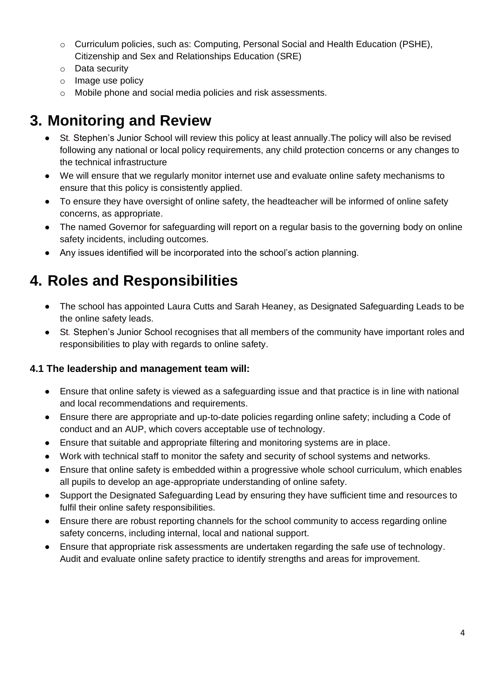- $\circ$  Curriculum policies, such as: Computing, Personal Social and Health Education (PSHE), Citizenship and Sex and Relationships Education (SRE)
- o Data security
- o Image use policy
- o Mobile phone and social media policies and risk assessments.

### **3. Monitoring and Review**

- St*.* Stephen's Junior School will review this policy at least annually.The policy will also be revised following any national or local policy requirements, any child protection concerns or any changes to the technical infrastructure
- We will ensure that we regularly monitor internet use and evaluate online safety mechanisms to ensure that this policy is consistently applied.
- To ensure they have oversight of online safety, the headteacher will be informed of online safety concerns, as appropriate.
- The named Governor for safeguarding will report on a regular basis to the governing body on online safety incidents, including outcomes.
- Any issues identified will be incorporated into the school's action planning.

## **4. Roles and Responsibilities**

- The school has appointed Laura Cutts and Sarah Heaney, as Designated Safeguarding Leads to be the online safety leads.
- St*.* Stephen's Junior School recognises that all members of the community have important roles and responsibilities to play with regards to online safety.

#### **4.1 The leadership and management team will:**

- Ensure that online safety is viewed as a safeguarding issue and that practice is in line with national and local recommendations and requirements.
- Ensure there are appropriate and up-to-date policies regarding online safety; including a Code of conduct and an AUP, which covers acceptable use of technology.
- Ensure that suitable and appropriate filtering and monitoring systems are in place.
- Work with technical staff to monitor the safety and security of school systems and networks.
- Ensure that online safety is embedded within a progressive whole school curriculum, which enables all pupils to develop an age-appropriate understanding of online safety.
- Support the Designated Safeguarding Lead by ensuring they have sufficient time and resources to fulfil their online safety responsibilities.
- Ensure there are robust reporting channels for the school community to access regarding online safety concerns, including internal, local and national support.
- Ensure that appropriate risk assessments are undertaken regarding the safe use of technology. Audit and evaluate online safety practice to identify strengths and areas for improvement.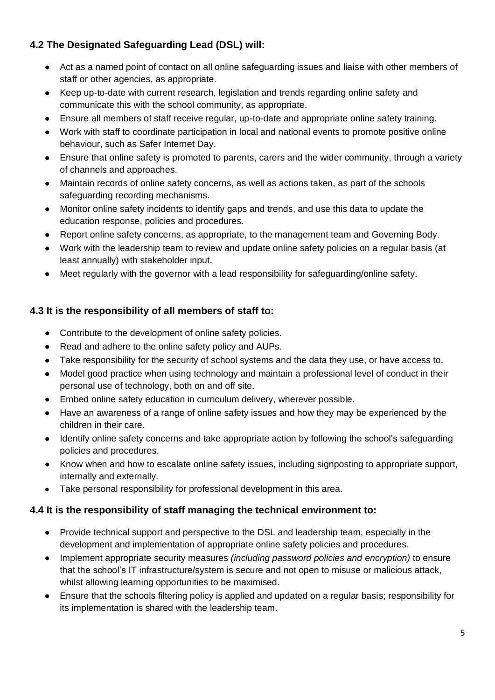#### **4.2 The Designated Safeguarding Lead (DSL) will:**

- Act as a named point of contact on all online safeguarding issues and liaise with other members of staff or other agencies, as appropriate.
- Keep up-to-date with current research, legislation and trends regarding online safety and communicate this with the school community, as appropriate.
- Ensure all members of staff receive regular, up-to-date and appropriate online safety training.
- Work with staff to coordinate participation in local and national events to promote positive online behaviour, such as Safer Internet Day.
- Ensure that online safety is promoted to parents, carers and the wider community, through a variety of channels and approaches.
- Maintain records of online safety concerns, as well as actions taken, as part of the schools safeguarding recording mechanisms.
- Monitor online safety incidents to identify gaps and trends, and use this data to update the education response, policies and procedures.
- Report online safety concerns, as appropriate, to the management team and Governing Body.
- Work with the leadership team to review and update online safety policies on a regular basis (at least annually) with stakeholder input.
- Meet regularly with the governor with a lead responsibility for safeguarding/online safety.

#### **4.3 It is the responsibility of all members of staff to:**

- Contribute to the development of online safety policies.
- Read and adhere to the online safety policy and AUPs.
- Take responsibility for the security of school systems and the data they use, or have access to.
- Model good practice when using technology and maintain a professional level of conduct in their personal use of technology, both on and off site.
- Embed online safety education in curriculum delivery, wherever possible.
- Have an awareness of a range of online safety issues and how they may be experienced by the children in their care.
- Identify online safety concerns and take appropriate action by following the school's safeguarding policies and procedures.
- Know when and how to escalate online safety issues, including signposting to appropriate support, internally and externally.
- Take personal responsibility for professional development in this area.

#### **4.4 It is the responsibility of staff managing the technical environment to:**

- Provide technical support and perspective to the DSL and leadership team, especially in the development and implementation of appropriate online safety policies and procedures.
- Implement appropriate security measures *(including password policies and encryption)* to ensure that the school's IT infrastructure/system is secure and not open to misuse or malicious attack, whilst allowing learning opportunities to be maximised.
- Ensure that the schools filtering policy is applied and updated on a regular basis; responsibility for its implementation is shared with the leadership team.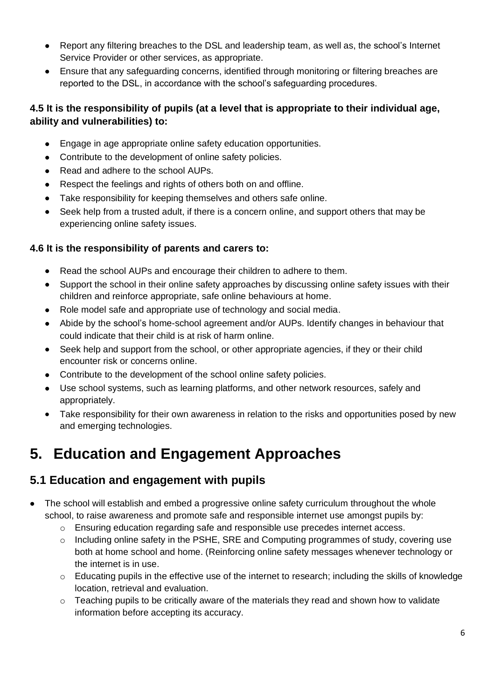- Report any filtering breaches to the DSL and leadership team, as well as, the school's Internet Service Provider or other services, as appropriate.
- Ensure that any safeguarding concerns, identified through monitoring or filtering breaches are reported to the DSL, in accordance with the school's safeguarding procedures.

#### **4.5 It is the responsibility of pupils (at a level that is appropriate to their individual age, ability and vulnerabilities) to:**

- Engage in age appropriate online safety education opportunities.
- Contribute to the development of online safety policies.
- Read and adhere to the school AUPs.
- Respect the feelings and rights of others both on and offline.
- Take responsibility for keeping themselves and others safe online.
- Seek help from a trusted adult, if there is a concern online, and support others that may be experiencing online safety issues.

#### **4.6 It is the responsibility of parents and carers to:**

- Read the school AUPs and encourage their children to adhere to them.
- Support the school in their online safety approaches by discussing online safety issues with their children and reinforce appropriate, safe online behaviours at home.
- Role model safe and appropriate use of technology and social media.
- Abide by the school's home-school agreement and/or AUPs. Identify changes in behaviour that could indicate that their child is at risk of harm online.
- Seek help and support from the school, or other appropriate agencies, if they or their child encounter risk or concerns online.
- Contribute to the development of the school online safety policies.
- Use school systems, such as learning platforms, and other network resources, safely and appropriately.
- Take responsibility for their own awareness in relation to the risks and opportunities posed by new and emerging technologies.

## **5. Education and Engagement Approaches**

#### **5.1 Education and engagement with pupils**

- The school will establish and embed a progressive online safety curriculum throughout the whole school, to raise awareness and promote safe and responsible internet use amongst pupils by:
	- $\circ$  Ensuring education regarding safe and responsible use precedes internet access.
	- $\circ$  Including online safety in the PSHE, SRE and Computing programmes of study, covering use both at home school and home. (Reinforcing online safety messages whenever technology or the internet is in use.
	- o Educating pupils in the effective use of the internet to research; including the skills of knowledge location, retrieval and evaluation.
	- $\circ$  Teaching pupils to be critically aware of the materials they read and shown how to validate information before accepting its accuracy.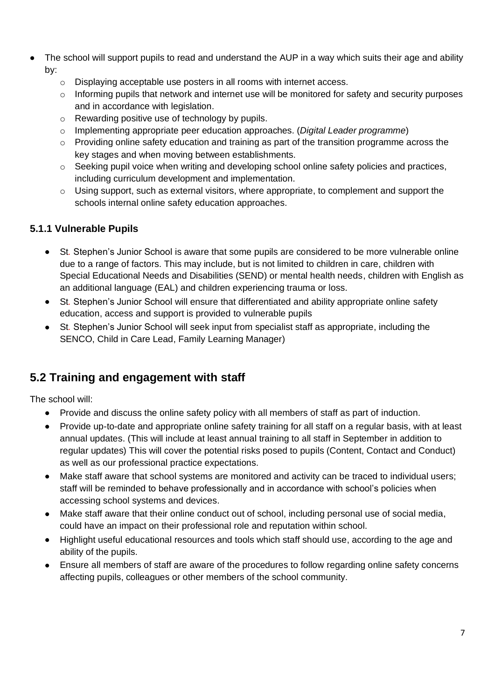- The school will support pupils to read and understand the AUP in a way which suits their age and ability by:
	- o Displaying acceptable use posters in all rooms with internet access.
	- $\circ$  Informing pupils that network and internet use will be monitored for safety and security purposes and in accordance with legislation.
	- o Rewarding positive use of technology by pupils.
	- o Implementing appropriate peer education approaches. (*Digital Leader programme*)
	- $\circ$  Providing online safety education and training as part of the transition programme across the key stages and when moving between establishments.
	- o Seeking pupil voice when writing and developing school online safety policies and practices, including curriculum development and implementation.
	- o Using support, such as external visitors, where appropriate, to complement and support the schools internal online safety education approaches.

#### **5.1.1 Vulnerable Pupils**

- St*.* Stephen's Junior School is aware that some pupils are considered to be more vulnerable online due to a range of factors. This may include, but is not limited to children in care, children with Special Educational Needs and Disabilities (SEND) or mental health needs, children with English as an additional language (EAL) and children experiencing trauma or loss.
- St*.* Stephen's Junior School will ensure that differentiated and ability appropriate online safety education, access and support is provided to vulnerable pupils
- St*.* Stephen's Junior School will seek input from specialist staff as appropriate, including the SENCO, Child in Care Lead, Family Learning Manager)

#### **5.2 Training and engagement with staff**

The school will:

- Provide and discuss the online safety policy with all members of staff as part of induction.
- Provide up-to-date and appropriate online safety training for all staff on a regular basis, with at least annual updates. (This will include at least annual training to all staff in September in addition to regular updates) This will cover the potential risks posed to pupils (Content, Contact and Conduct) as well as our professional practice expectations.
- Make staff aware that school systems are monitored and activity can be traced to individual users; staff will be reminded to behave professionally and in accordance with school's policies when accessing school systems and devices.
- Make staff aware that their online conduct out of school, including personal use of social media, could have an impact on their professional role and reputation within school.
- Highlight useful educational resources and tools which staff should use, according to the age and ability of the pupils.
- Ensure all members of staff are aware of the procedures to follow regarding online safety concerns affecting pupils, colleagues or other members of the school community.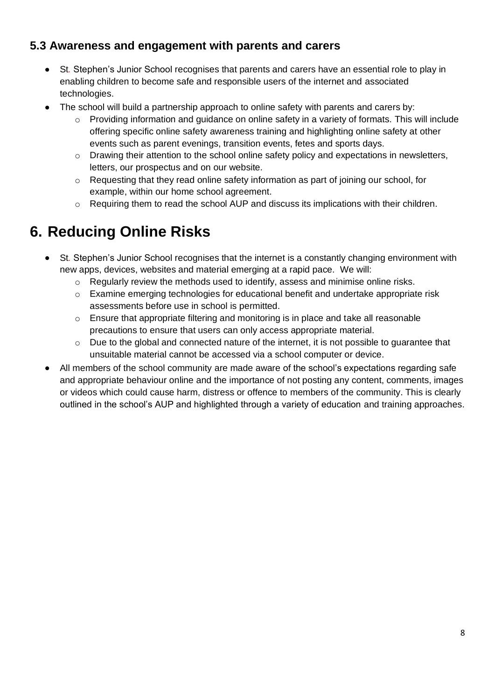#### **5.3 Awareness and engagement with parents and carers**

- St*.* Stephen's Junior School recognises that parents and carers have an essential role to play in enabling children to become safe and responsible users of the internet and associated technologies.
- The school will build a partnership approach to online safety with parents and carers by:
	- Providing information and guidance on online safety in a variety of formats. This will include offering specific online safety awareness training and highlighting online safety at other events such as parent evenings, transition events, fetes and sports days.
	- o Drawing their attention to the school online safety policy and expectations in newsletters, letters, our prospectus and on our website.
	- $\circ$  Requesting that they read online safety information as part of joining our school, for example, within our home school agreement.
	- o Requiring them to read the school AUP and discuss its implications with their children.

## **6. Reducing Online Risks**

- St*.* Stephen's Junior School recognises that the internet is a constantly changing environment with new apps, devices, websites and material emerging at a rapid pace. We will:
	- o Regularly review the methods used to identify, assess and minimise online risks.
	- $\circ$  Examine emerging technologies for educational benefit and undertake appropriate risk assessments before use in school is permitted.
	- $\circ$  Ensure that appropriate filtering and monitoring is in place and take all reasonable precautions to ensure that users can only access appropriate material.
	- o Due to the global and connected nature of the internet, it is not possible to guarantee that unsuitable material cannot be accessed via a school computer or device.
- All members of the school community are made aware of the school's expectations regarding safe and appropriate behaviour online and the importance of not posting any content, comments, images or videos which could cause harm, distress or offence to members of the community. This is clearly outlined in the school's AUP and highlighted through a variety of education and training approaches.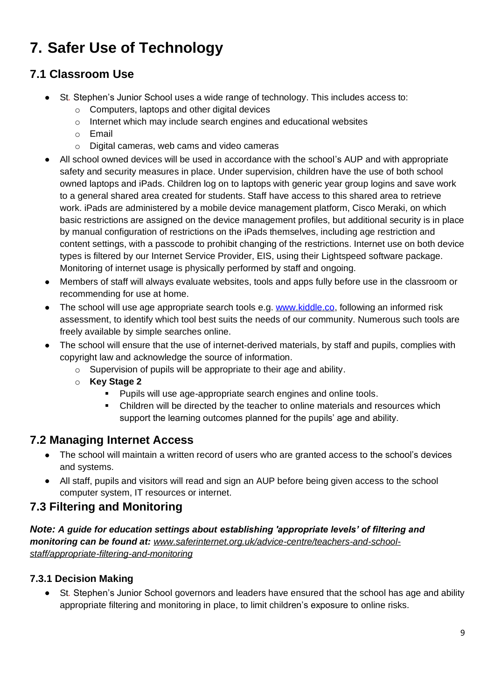## **7. Safer Use of Technology**

#### **7.1 Classroom Use**

- St*.* Stephen's Junior School uses a wide range of technology. This includes access to:
	- o Computers, laptops and other digital devices
	- o Internet which may include search engines and educational websites
	- o Email
	- o Digital cameras, web cams and video cameras
- All school owned devices will be used in accordance with the school's AUP and with appropriate safety and security measures in place. Under supervision, children have the use of both school owned laptops and iPads. Children log on to laptops with generic year group logins and save work to a general shared area created for students. Staff have access to this shared area to retrieve work. iPads are administered by a mobile device management platform, Cisco Meraki, on which basic restrictions are assigned on the device management profiles, but additional security is in place by manual configuration of restrictions on the iPads themselves, including age restriction and content settings, with a passcode to prohibit changing of the restrictions. Internet use on both device types is filtered by our Internet Service Provider, EIS, using their Lightspeed software package. Monitoring of internet usage is physically performed by staff and ongoing.
- Members of staff will always evaluate websites, tools and apps fully before use in the classroom or recommending for use at home.
- The school will use age appropriate search tools e.g. [www.kiddle.co,](http://www.kiddle.co/) following an informed risk assessment, to identify which tool best suits the needs of our community. Numerous such tools are freely available by simple searches online.
- The school will ensure that the use of internet-derived materials, by staff and pupils, complies with copyright law and acknowledge the source of information.
	- o Supervision of pupils will be appropriate to their age and ability.
	- o **Key Stage 2** 
		- Pupils will use age-appropriate search engines and online tools.
		- Children will be directed by the teacher to online materials and resources which support the learning outcomes planned for the pupils' age and ability.

#### **7.2 Managing Internet Access**

- The school will maintain a written record of users who are granted access to the school's devices and systems.
- All staff, pupils and visitors will read and sign an AUP before being given access to the school computer system, IT resources or internet.

#### **7.3 Filtering and Monitoring**

*Note: A guide for education settings about establishing 'appropriate levels' of filtering and monitoring can be found at: [www.saferinternet.org.uk/advice-centre/teachers-and-school](http://www.saferinternet.org.uk/advice-centre/teachers-and-school-staff/appropriate-filtering-and-monitoring)[staff/appropriate-filtering-and-monitoring](http://www.saferinternet.org.uk/advice-centre/teachers-and-school-staff/appropriate-filtering-and-monitoring)*

#### **7.3.1 Decision Making**

• St*.* Stephen's Junior School governors and leaders have ensured that the school has age and ability appropriate filtering and monitoring in place, to limit children's exposure to online risks.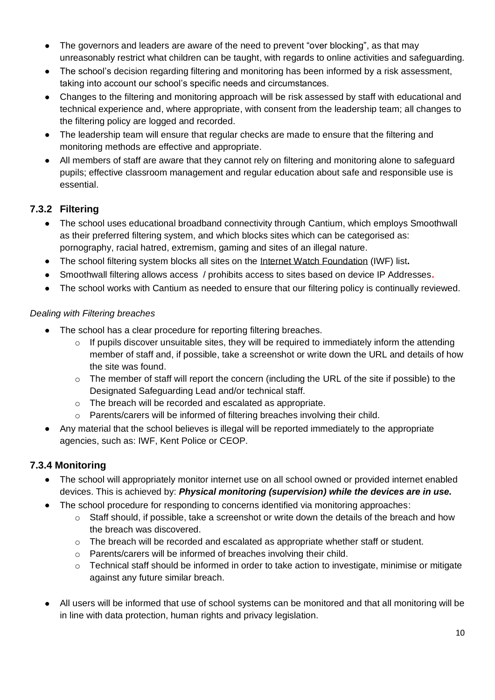- The governors and leaders are aware of the need to prevent "over blocking", as that may unreasonably restrict what children can be taught, with regards to online activities and safeguarding.
- The school's decision regarding filtering and monitoring has been informed by a risk assessment, taking into account our school's specific needs and circumstances.
- Changes to the filtering and monitoring approach will be risk assessed by staff with educational and technical experience and, where appropriate, with consent from the leadership team; all changes to the filtering policy are logged and recorded.
- The leadership team will ensure that regular checks are made to ensure that the filtering and monitoring methods are effective and appropriate.
- All members of staff are aware that they cannot rely on filtering and monitoring alone to safeguard pupils; effective classroom management and regular education about safe and responsible use is essential.

#### **7.3.2 Filtering**

- The school uses educational broadband connectivity through Cantium, which employs Smoothwall as their preferred filtering system, and which blocks sites which can be categorised as: pornography, racial hatred, extremism, gaming and sites of an illegal nature.
- The school filtering system blocks all sites on the [Internet Watch Foundation](https://www.iwf.org.uk/) (IWF) list**.**
- Smoothwall filtering allows access / prohibits access to sites based on device IP Addresses**.**
- The school works with Cantium as needed to ensure that our filtering policy is continually reviewed.

#### *Dealing with Filtering breaches*

- The school has a clear procedure for reporting filtering breaches.
	- o If pupils discover unsuitable sites, they will be required to immediately inform the attending member of staff and, if possible, take a screenshot or write down the URL and details of how the site was found.
	- $\circ$  The member of staff will report the concern (including the URL of the site if possible) to the Designated Safeguarding Lead and/or technical staff.
	- o The breach will be recorded and escalated as appropriate.
	- o Parents/carers will be informed of filtering breaches involving their child.
- Any material that the school believes is illegal will be reported immediately to the appropriate agencies, such as: IWF, Kent Police or CEOP.

#### **7.3.4 Monitoring**

- The school will appropriately monitor internet use on all school owned or provided internet enabled devices. This is achieved by: *Physical monitoring (supervision) while the devices are in use.*
- The school procedure for responding to concerns identified via monitoring approaches:
	- $\circ$  Staff should, if possible, take a screenshot or write down the details of the breach and how the breach was discovered.
	- $\circ$  The breach will be recorded and escalated as appropriate whether staff or student.
	- o Parents/carers will be informed of breaches involving their child.
	- o Technical staff should be informed in order to take action to investigate, minimise or mitigate against any future similar breach.
- All users will be informed that use of school systems can be monitored and that all monitoring will be in line with data protection, human rights and privacy legislation.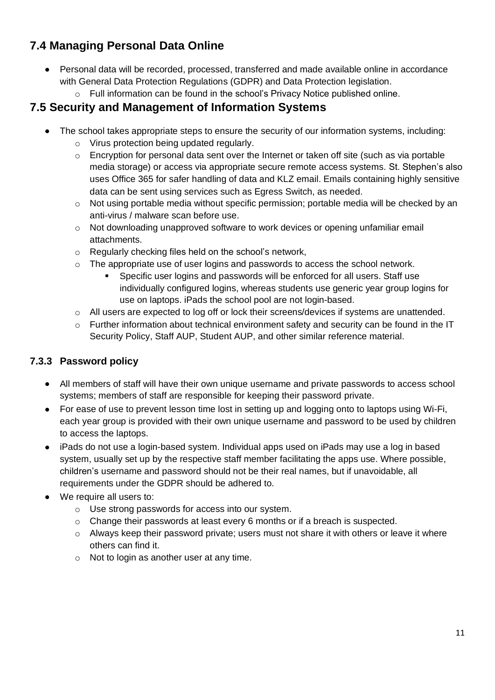#### **7.4 Managing Personal Data Online**

- Personal data will be recorded, processed, transferred and made available online in accordance with General Data Protection Regulations (GDPR) and Data Protection legislation.
	- o Full information can be found in the school's Privacy Notice published online.

#### **7.5 Security and Management of Information Systems**

- The school takes appropriate steps to ensure the security of our information systems, including:
	- o Virus protection being updated regularly.
	- $\circ$  Encryption for personal data sent over the Internet or taken off site (such as via portable media storage) or access via appropriate secure remote access systems. St. Stephen's also uses Office 365 for safer handling of data and KLZ email. Emails containing highly sensitive data can be sent using services such as Egress Switch, as needed.
	- o Not using portable media without specific permission; portable media will be checked by an anti-virus / malware scan before use.
	- o Not downloading unapproved software to work devices or opening unfamiliar email attachments.
	- o Regularly checking files held on the school's network,
	- $\circ$  The appropriate use of user logins and passwords to access the school network.
		- Specific user logins and passwords will be enforced for all users. Staff use individually configured logins, whereas students use generic year group logins for use on laptops. iPads the school pool are not login-based.
	- o All users are expected to log off or lock their screens/devices if systems are unattended.
	- $\circ$  Further information about technical environment safety and security can be found in the IT Security Policy, Staff AUP, Student AUP, and other similar reference material.

#### **7.3.3 Password policy**

- All members of staff will have their own unique username and private passwords to access school systems; members of staff are responsible for keeping their password private.
- For ease of use to prevent lesson time lost in setting up and logging onto to laptops using Wi-Fi, each year group is provided with their own unique username and password to be used by children to access the laptops.
- iPads do not use a login-based system. Individual apps used on iPads may use a log in based system, usually set up by the respective staff member facilitating the apps use. Where possible, children's username and password should not be their real names, but if unavoidable, all requirements under the GDPR should be adhered to.
- We require all users to:
	- o Use strong passwords for access into our system.
	- $\circ$  Change their passwords at least every 6 months or if a breach is suspected.
	- $\circ$  Always keep their password private; users must not share it with others or leave it where others can find it.
	- o Not to login as another user at any time.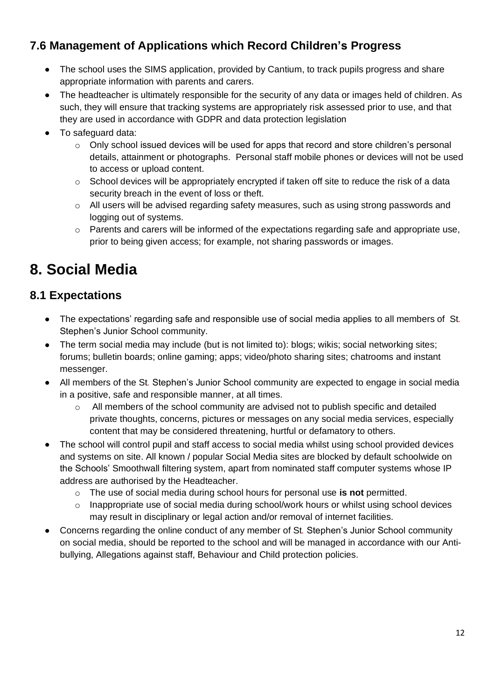#### **7.6 Management of Applications which Record Children's Progress**

- The school uses the SIMS application, provided by Cantium, to track pupils progress and share appropriate information with parents and carers.
- The headteacher is ultimately responsible for the security of any data or images held of children. As such, they will ensure that tracking systems are appropriately risk assessed prior to use, and that they are used in accordance with GDPR and data protection legislation
- To safeguard data:
	- $\circ$  Only school issued devices will be used for apps that record and store children's personal details, attainment or photographs. Personal staff mobile phones or devices will not be used to access or upload content.
	- $\circ$  School devices will be appropriately encrypted if taken off site to reduce the risk of a data security breach in the event of loss or theft.
	- o All users will be advised regarding safety measures, such as using strong passwords and logging out of systems.
	- o Parents and carers will be informed of the expectations regarding safe and appropriate use, prior to being given access; for example, not sharing passwords or images.

### **8. Social Media**

#### **8.1 Expectations**

- The expectations' regarding safe and responsible use of social media applies to all members of St*.*  Stephen's Junior School community.
- The term social media may include (but is not limited to): blogs; wikis; social networking sites; forums; bulletin boards; online gaming; apps; video/photo sharing sites; chatrooms and instant messenger.
- All members of the St*.* Stephen's Junior School community are expected to engage in social media in a positive, safe and responsible manner, at all times.
	- o All members of the school community are advised not to publish specific and detailed private thoughts, concerns, pictures or messages on any social media services, especially content that may be considered threatening, hurtful or defamatory to others.
- The school will control pupil and staff access to social media whilst using school provided devices and systems on site. All known / popular Social Media sites are blocked by default schoolwide on the Schools' Smoothwall filtering system, apart from nominated staff computer systems whose IP address are authorised by the Headteacher.
	- o The use of social media during school hours for personal use **is not** permitted.
	- $\circ$  Inappropriate use of social media during school/work hours or whilst using school devices may result in disciplinary or legal action and/or removal of internet facilities.
- Concerns regarding the online conduct of any member of St*.* Stephen's Junior School community on social media, should be reported to the school and will be managed in accordance with our Antibullying, Allegations against staff, Behaviour and Child protection policies.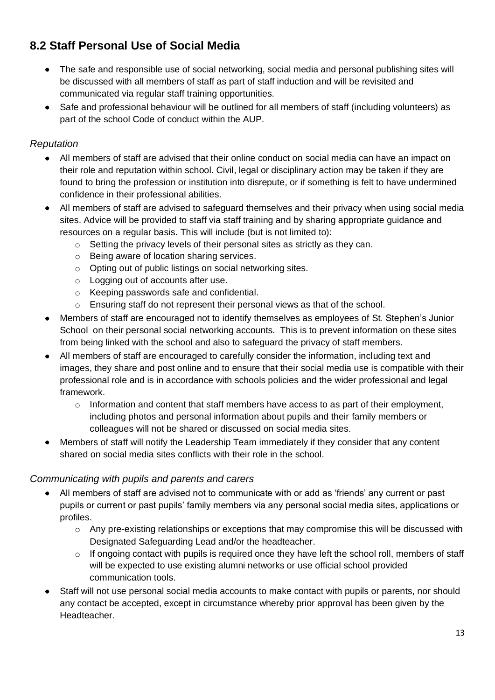#### **8.2 Staff Personal Use of Social Media**

- The safe and responsible use of social networking, social media and personal publishing sites will be discussed with all members of staff as part of staff induction and will be revisited and communicated via regular staff training opportunities.
- Safe and professional behaviour will be outlined for all members of staff (including volunteers) as part of the school Code of conduct within the AUP.

#### *Reputation*

- All members of staff are advised that their online conduct on social media can have an impact on their role and reputation within school. Civil, legal or disciplinary action may be taken if they are found to bring the profession or institution into disrepute, or if something is felt to have undermined confidence in their professional abilities.
- All members of staff are advised to safeguard themselves and their privacy when using social media sites. Advice will be provided to staff via staff training and by sharing appropriate guidance and resources on a regular basis. This will include (but is not limited to):
	- o Setting the privacy levels of their personal sites as strictly as they can.
	- o Being aware of location sharing services.
	- o Opting out of public listings on social networking sites.
	- o Logging out of accounts after use.
	- o Keeping passwords safe and confidential.
	- o Ensuring staff do not represent their personal views as that of the school.
- Members of staff are encouraged not to identify themselves as employees of St*.* Stephen's Junior School on their personal social networking accounts. This is to prevent information on these sites from being linked with the school and also to safeguard the privacy of staff members.
- All members of staff are encouraged to carefully consider the information, including text and images, they share and post online and to ensure that their social media use is compatible with their professional role and is in accordance with schools policies and the wider professional and legal framework.
	- o Information and content that staff members have access to as part of their employment, including photos and personal information about pupils and their family members or colleagues will not be shared or discussed on social media sites.
- Members of staff will notify the Leadership Team immediately if they consider that any content shared on social media sites conflicts with their role in the school.

#### *Communicating with pupils and parents and carers*

- All members of staff are advised not to communicate with or add as 'friends' any current or past pupils or current or past pupils' family members via any personal social media sites, applications or profiles.
	- $\circ$  Any pre-existing relationships or exceptions that may compromise this will be discussed with Designated Safeguarding Lead and/or the headteacher.
	- o If ongoing contact with pupils is required once they have left the school roll, members of staff will be expected to use existing alumni networks or use official school provided communication tools.
- Staff will not use personal social media accounts to make contact with pupils or parents, nor should any contact be accepted, except in circumstance whereby prior approval has been given by the Headteacher.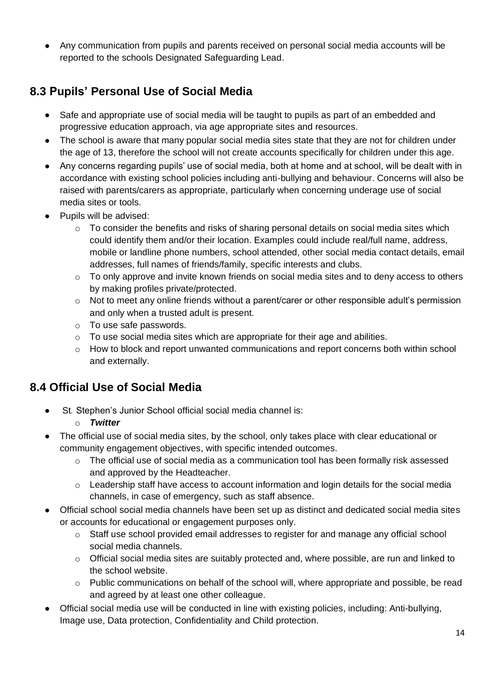• Any communication from pupils and parents received on personal social media accounts will be reported to the schools Designated Safeguarding Lead.

#### **8.3 Pupils' Personal Use of Social Media**

- Safe and appropriate use of social media will be taught to pupils as part of an embedded and progressive education approach, via age appropriate sites and resources.
- The school is aware that many popular social media sites state that they are not for children under the age of 13, therefore the school will not create accounts specifically for children under this age.
- Any concerns regarding pupils' use of social media, both at home and at school, will be dealt with in accordance with existing school policies including anti-bullying and behaviour. Concerns will also be raised with parents/carers as appropriate, particularly when concerning underage use of social media sites or tools.
- Pupils will be advised:
	- $\circ$  To consider the benefits and risks of sharing personal details on social media sites which could identify them and/or their location. Examples could include real/full name, address, mobile or landline phone numbers, school attended, other social media contact details, email addresses, full names of friends/family, specific interests and clubs.
	- o To only approve and invite known friends on social media sites and to deny access to others by making profiles private/protected.
	- $\circ$  Not to meet any online friends without a parent/carer or other responsible adult's permission and only when a trusted adult is present.
	- o To use safe passwords.
	- o To use social media sites which are appropriate for their age and abilities.
	- $\circ$  How to block and report unwanted communications and report concerns both within school and externally.

#### **8.4 Official Use of Social Media**

- St*.* Stephen's Junior School official social media channel is:
	- o *Twitter*
- The official use of social media sites, by the school, only takes place with clear educational or community engagement objectives, with specific intended outcomes.
	- $\circ$  The official use of social media as a communication tool has been formally risk assessed and approved by the Headteacher.
	- o Leadership staff have access to account information and login details for the social media channels, in case of emergency, such as staff absence.
- Official school social media channels have been set up as distinct and dedicated social media sites or accounts for educational or engagement purposes only.
	- $\circ$  Staff use school provided email addresses to register for and manage any official school social media channels.
	- o Official social media sites are suitably protected and, where possible, are run and linked to the school website.
	- $\circ$  Public communications on behalf of the school will, where appropriate and possible, be read and agreed by at least one other colleague.
- Official social media use will be conducted in line with existing policies, including: Anti-bullying, Image use, Data protection, Confidentiality and Child protection.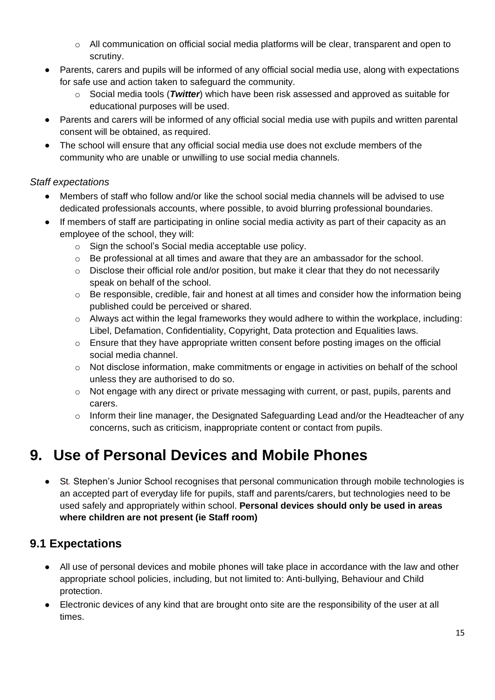- $\circ$  All communication on official social media platforms will be clear, transparent and open to scrutiny.
- Parents, carers and pupils will be informed of any official social media use, along with expectations for safe use and action taken to safeguard the community.
	- o Social media tools (*Twitter*) which have been risk assessed and approved as suitable for educational purposes will be used.
- Parents and carers will be informed of any official social media use with pupils and written parental consent will be obtained, as required.
- The school will ensure that any official social media use does not exclude members of the community who are unable or unwilling to use social media channels.

#### *Staff expectations*

- Members of staff who follow and/or like the school social media channels will be advised to use dedicated professionals accounts, where possible, to avoid blurring professional boundaries.
- If members of staff are participating in online social media activity as part of their capacity as an employee of the school, they will:
	- o Sign the school's Social media acceptable use policy.
	- $\circ$  Be professional at all times and aware that they are an ambassador for the school.
	- o Disclose their official role and/or position, but make it clear that they do not necessarily speak on behalf of the school.
	- o Be responsible, credible, fair and honest at all times and consider how the information being published could be perceived or shared.
	- o Always act within the legal frameworks they would adhere to within the workplace, including: Libel, Defamation, Confidentiality, Copyright, Data protection and Equalities laws.
	- $\circ$  Ensure that they have appropriate written consent before posting images on the official social media channel.
	- $\circ$  Not disclose information, make commitments or engage in activities on behalf of the school unless they are authorised to do so.
	- o Not engage with any direct or private messaging with current, or past, pupils, parents and carers.
	- $\circ$  Inform their line manager, the Designated Safeguarding Lead and/or the Headteacher of any concerns, such as criticism, inappropriate content or contact from pupils.

## **9. Use of Personal Devices and Mobile Phones**

• St*.* Stephen's Junior School recognises that personal communication through mobile technologies is an accepted part of everyday life for pupils, staff and parents/carers, but technologies need to be used safely and appropriately within school. **Personal devices should only be used in areas where children are not present (ie Staff room)**

#### **9.1 Expectations**

- All use of personal devices and mobile phones will take place in accordance with the law and other appropriate school policies, including, but not limited to: Anti-bullying, Behaviour and Child protection.
- Electronic devices of any kind that are brought onto site are the responsibility of the user at all times.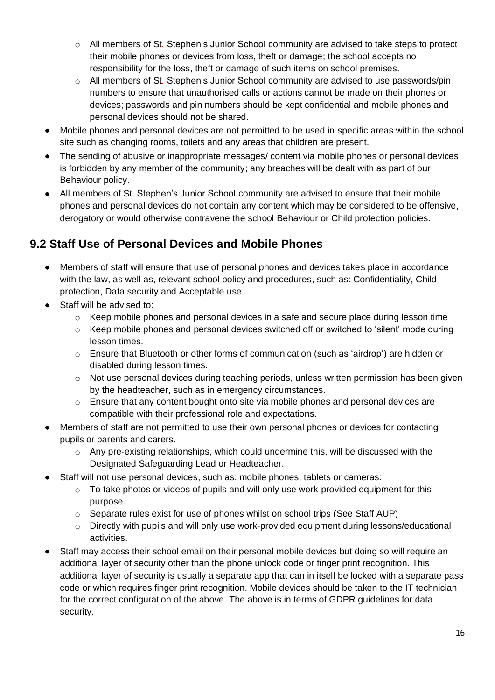- o All members of St*.* Stephen's Junior School community are advised to take steps to protect their mobile phones or devices from loss, theft or damage; the school accepts no responsibility for the loss, theft or damage of such items on school premises.
- o All members of St*.* Stephen's Junior School community are advised to use passwords/pin numbers to ensure that unauthorised calls or actions cannot be made on their phones or devices; passwords and pin numbers should be kept confidential and mobile phones and personal devices should not be shared.
- Mobile phones and personal devices are not permitted to be used in specific areas within the school site such as changing rooms, toilets and any areas that children are present.
- The sending of abusive or inappropriate messages/ content via mobile phones or personal devices is forbidden by any member of the community; any breaches will be dealt with as part of our Behaviour policy.
- All members of St*.* Stephen's Junior School community are advised to ensure that their mobile phones and personal devices do not contain any content which may be considered to be offensive, derogatory or would otherwise contravene the school Behaviour or Child protection policies.

#### **9.2 Staff Use of Personal Devices and Mobile Phones**

- Members of staff will ensure that use of personal phones and devices takes place in accordance with the law, as well as, relevant school policy and procedures, such as: Confidentiality, Child protection, Data security and Acceptable use.
- Staff will be advised to:
	- $\circ$  Keep mobile phones and personal devices in a safe and secure place during lesson time
	- $\circ$  Keep mobile phones and personal devices switched off or switched to 'silent' mode during lesson times.
	- $\circ$  Ensure that Bluetooth or other forms of communication (such as 'airdrop') are hidden or disabled during lesson times.
	- $\circ$  Not use personal devices during teaching periods, unless written permission has been given by the headteacher, such as in emergency circumstances.
	- o Ensure that any content bought onto site via mobile phones and personal devices are compatible with their professional role and expectations.
- Members of staff are not permitted to use their own personal phones or devices for contacting pupils or parents and carers.
	- $\circ$  Any pre-existing relationships, which could undermine this, will be discussed with the Designated Safeguarding Lead or Headteacher.
- Staff will not use personal devices, such as: mobile phones, tablets or cameras:
	- o To take photos or videos of pupils and will only use work-provided equipment for this purpose.
	- o Separate rules exist for use of phones whilst on school trips (See Staff AUP)
	- $\circ$  Directly with pupils and will only use work-provided equipment during lessons/educational activities.
- Staff may access their school email on their personal mobile devices but doing so will require an additional layer of security other than the phone unlock code or finger print recognition. This additional layer of security is usually a separate app that can in itself be locked with a separate pass code or which requires finger print recognition. Mobile devices should be taken to the IT technician for the correct configuration of the above. The above is in terms of GDPR guidelines for data security.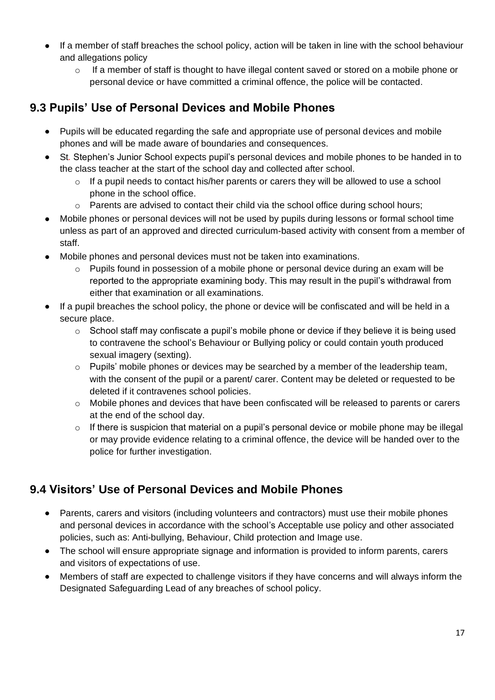- If a member of staff breaches the school policy, action will be taken in line with the school behaviour and allegations policy
	- $\circ$  If a member of staff is thought to have illegal content saved or stored on a mobile phone or personal device or have committed a criminal offence, the police will be contacted.

#### **9.3 Pupils' Use of Personal Devices and Mobile Phones**

- Pupils will be educated regarding the safe and appropriate use of personal devices and mobile phones and will be made aware of boundaries and consequences.
- St*.* Stephen's Junior School expects pupil's personal devices and mobile phones to be handed in to the class teacher at the start of the school day and collected after school.
	- $\circ$  If a pupil needs to contact his/her parents or carers they will be allowed to use a school phone in the school office.
	- o Parents are advised to contact their child via the school office during school hours;
- Mobile phones or personal devices will not be used by pupils during lessons or formal school time unless as part of an approved and directed curriculum-based activity with consent from a member of staff.
- Mobile phones and personal devices must not be taken into examinations.
	- $\circ$  Pupils found in possession of a mobile phone or personal device during an exam will be reported to the appropriate examining body. This may result in the pupil's withdrawal from either that examination or all examinations.
- If a pupil breaches the school policy, the phone or device will be confiscated and will be held in a secure place.
	- $\circ$  School staff may confiscate a pupil's mobile phone or device if they believe it is being used to contravene the school's Behaviour or Bullying policy or could contain youth produced sexual imagery (sexting).
	- $\circ$  Pupils' mobile phones or devices may be searched by a member of the leadership team, with the consent of the pupil or a parent/ carer. Content may be deleted or requested to be deleted if it contravenes school policies.
	- $\circ$  Mobile phones and devices that have been confiscated will be released to parents or carers at the end of the school day.
	- o If there is suspicion that material on a pupil's personal device or mobile phone may be illegal or may provide evidence relating to a criminal offence, the device will be handed over to the police for further investigation.

#### **9.4 Visitors' Use of Personal Devices and Mobile Phones**

- Parents, carers and visitors (including volunteers and contractors) must use their mobile phones and personal devices in accordance with the school's Acceptable use policy and other associated policies, such as: Anti-bullying, Behaviour, Child protection and Image use.
- The school will ensure appropriate signage and information is provided to inform parents, carers and visitors of expectations of use.
- Members of staff are expected to challenge visitors if they have concerns and will always inform the Designated Safeguarding Lead of any breaches of school policy.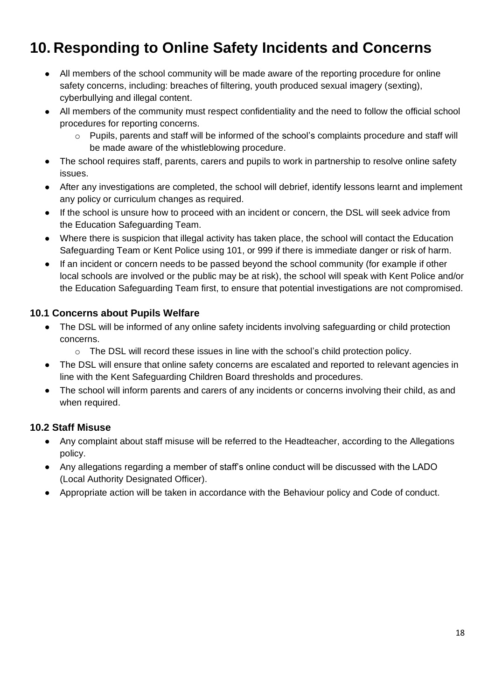## **10. Responding to Online Safety Incidents and Concerns**

- All members of the school community will be made aware of the reporting procedure for online safety concerns, including: breaches of filtering, youth produced sexual imagery (sexting), cyberbullying and illegal content.
- All members of the community must respect confidentiality and the need to follow the official school procedures for reporting concerns.
	- $\circ$  Pupils, parents and staff will be informed of the school's complaints procedure and staff will be made aware of the whistleblowing procedure.
- The school requires staff, parents, carers and pupils to work in partnership to resolve online safety issues.
- After any investigations are completed, the school will debrief, identify lessons learnt and implement any policy or curriculum changes as required.
- If the school is unsure how to proceed with an incident or concern, the DSL will seek advice from the Education Safeguarding Team.
- Where there is suspicion that illegal activity has taken place, the school will contact the Education Safeguarding Team or Kent Police using 101, or 999 if there is immediate danger or risk of harm.
- If an incident or concern needs to be passed beyond the school community (for example if other local schools are involved or the public may be at risk), the school will speak with Kent Police and/or the Education Safeguarding Team first, to ensure that potential investigations are not compromised.

#### **10.1 Concerns about Pupils Welfare**

- The DSL will be informed of any online safety incidents involving safeguarding or child protection concerns.
	- o The DSL will record these issues in line with the school's child protection policy.
- The DSL will ensure that online safety concerns are escalated and reported to relevant agencies in line with the Kent Safeguarding Children Board thresholds and procedures.
- The school will inform parents and carers of any incidents or concerns involving their child, as and when required.

#### **10.2 Staff Misuse**

- Any complaint about staff misuse will be referred to the Headteacher, according to the Allegations policy.
- Any allegations regarding a member of staff's online conduct will be discussed with the LADO (Local Authority Designated Officer).
- Appropriate action will be taken in accordance with the Behaviour policy and Code of conduct.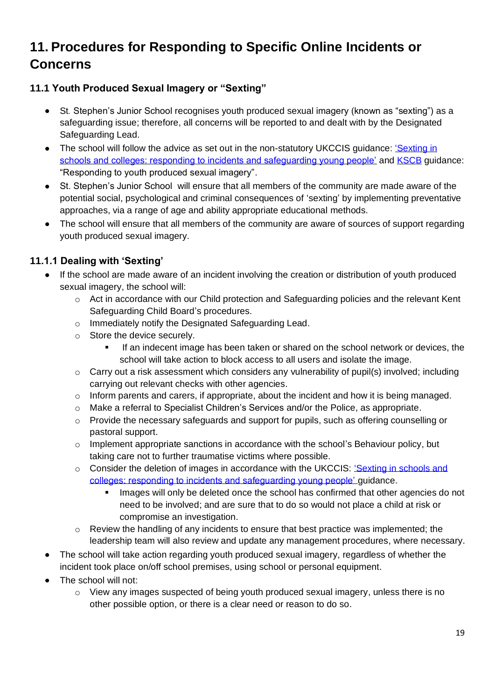### **11. Procedures for Responding to Specific Online Incidents or Concerns**

#### **11.1 Youth Produced Sexual Imagery or "Sexting"**

- St*.* Stephen's Junior School recognises youth produced sexual imagery (known as "sexting") as a safeguarding issue; therefore, all concerns will be reported to and dealt with by the Designated Safeguarding Lead.
- The school will follow the advice as set out in the non-statutory UKCCIS guidance: 'Sexting in [schools and colleges: responding to incidents and safeguarding young people'](https://www.gov.uk/government/groups/uk-council-for-child-internet-safety-ukccis) and [KSCB](http://www.kscb.org.uk/guidance/online-safety) guidance: "Responding to youth produced sexual imagery".
- St. Stephen's Junior School will ensure that all members of the community are made aware of the potential social, psychological and criminal consequences of 'sexting' by implementing preventative approaches, via a range of age and ability appropriate educational methods.
- The school will ensure that all members of the community are aware of sources of support regarding youth produced sexual imagery.

#### **11.1.1 Dealing with 'Sexting'**

- If the school are made aware of an incident involving the creation or distribution of youth produced sexual imagery, the school will:
	- o Act in accordance with our Child protection and Safeguarding policies and the relevant Kent Safeguarding Child Board's procedures.
	- o Immediately notify the Designated Safeguarding Lead.
	- o Store the device securely.
		- If an indecent image has been taken or shared on the school network or devices, the school will take action to block access to all users and isolate the image.
	- o Carry out a risk assessment which considers any vulnerability of pupil(s) involved; including carrying out relevant checks with other agencies.
	- o Inform parents and carers, if appropriate, about the incident and how it is being managed.
	- o Make a referral to Specialist Children's Services and/or the Police, as appropriate.
	- $\circ$  Provide the necessary safeguards and support for pupils, such as offering counselling or pastoral support.
	- o Implement appropriate sanctions in accordance with the school's Behaviour policy, but taking care not to further traumatise victims where possible.
	- o Consider the deletion of images in accordance with the UKCCIS: 'Sexting in schools and [colleges: responding to incidents and safeguarding young people'](https://www.gov.uk/government/groups/uk-council-for-child-internet-safety-ukccis) guidance.
		- Images will only be deleted once the school has confirmed that other agencies do not need to be involved; and are sure that to do so would not place a child at risk or compromise an investigation.
	- o Review the handling of any incidents to ensure that best practice was implemented; the leadership team will also review and update any management procedures, where necessary.
- The school will take action regarding youth produced sexual imagery, regardless of whether the incident took place on/off school premises, using school or personal equipment.
- The school will not:
	- $\circ$  View any images suspected of being youth produced sexual imagery, unless there is no other possible option, or there is a clear need or reason to do so.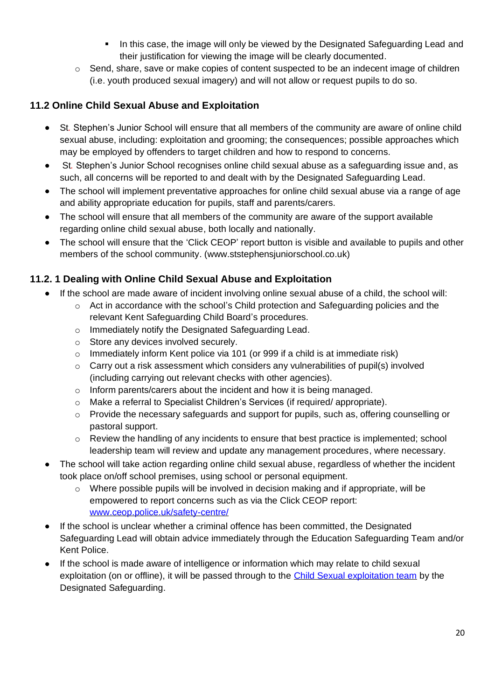- In this case, the image will only be viewed by the Designated Safeguarding Lead and their justification for viewing the image will be clearly documented.
- o Send, share, save or make copies of content suspected to be an indecent image of children (i.e. youth produced sexual imagery) and will not allow or request pupils to do so.

#### **11.2 Online Child Sexual Abuse and Exploitation**

- St*.* Stephen's Junior School will ensure that all members of the community are aware of online child sexual abuse, including: exploitation and grooming; the consequences; possible approaches which may be employed by offenders to target children and how to respond to concerns.
- St*.* Stephen's Junior School recognises online child sexual abuse as a safeguarding issue and, as such, all concerns will be reported to and dealt with by the Designated Safeguarding Lead.
- The school will implement preventative approaches for online child sexual abuse via a range of age and ability appropriate education for pupils, staff and parents/carers.
- The school will ensure that all members of the community are aware of the support available regarding online child sexual abuse, both locally and nationally.
- The school will ensure that the 'Click CEOP' report button is visible and available to pupils and other members of the school community. (www.ststephensjuniorschool.co.uk)

#### **11.2. 1 Dealing with Online Child Sexual Abuse and Exploitation**

- If the school are made aware of incident involving online sexual abuse of a child, the school will:
	- $\circ$  Act in accordance with the school's Child protection and Safeguarding policies and the relevant Kent Safeguarding Child Board's procedures.
	- o Immediately notify the Designated Safeguarding Lead.
	- o Store any devices involved securely.
	- o Immediately inform Kent police via 101 (or 999 if a child is at immediate risk)
	- o Carry out a risk assessment which considers any vulnerabilities of pupil(s) involved (including carrying out relevant checks with other agencies).
	- o Inform parents/carers about the incident and how it is being managed.
	- o Make a referral to Specialist Children's Services (if required/ appropriate).
	- o Provide the necessary safeguards and support for pupils, such as, offering counselling or pastoral support.
	- $\circ$  Review the handling of any incidents to ensure that best practice is implemented; school leadership team will review and update any management procedures, where necessary.
- The school will take action regarding online child sexual abuse, regardless of whether the incident took place on/off school premises, using school or personal equipment.
	- $\circ$  Where possible pupils will be involved in decision making and if appropriate, will be empowered to report concerns such as via the Click CEOP report: [www.ceop.police.uk/safety-centre/](http://www.ceop.police.uk/safety-centre/)
- If the school is unclear whether a criminal offence has been committed, the Designated Safeguarding Lead will obtain advice immediately through the Education Safeguarding Team and/or Kent Police.
- If the school is made aware of intelligence or information which may relate to child sexual exploitation (on or offline), it will be passed through to the [Child Sexual exploitation team](https://www.kelsi.org.uk/child-protection-and-safeguarding/cse/operation-willow#:~:text=Operation%20Willow%20is%20the%20name,if%20You%20See%20Something%20campaign.) by the Designated Safeguarding.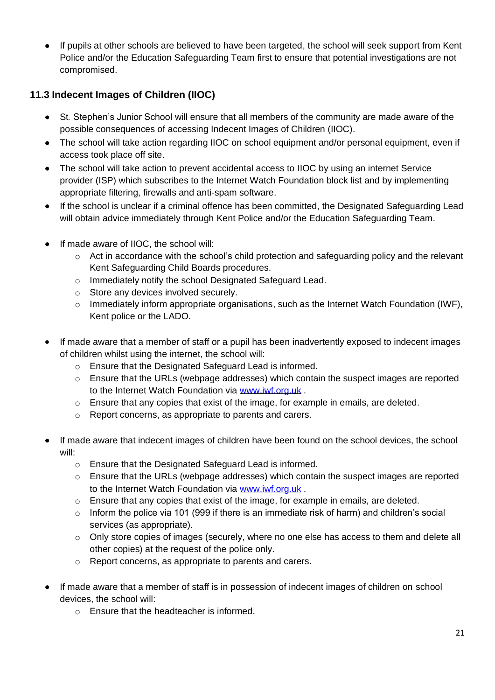• If pupils at other schools are believed to have been targeted, the school will seek support from Kent Police and/or the Education Safeguarding Team first to ensure that potential investigations are not compromised.

#### **11.3 Indecent Images of Children (IIOC)**

- St*.* Stephen's Junior School will ensure that all members of the community are made aware of the possible consequences of accessing Indecent Images of Children (IIOC).
- The school will take action regarding IIOC on school equipment and/or personal equipment, even if access took place off site.
- The school will take action to prevent accidental access to IIOC by using an internet Service provider (ISP) which subscribes to the Internet Watch Foundation block list and by implementing appropriate filtering, firewalls and anti-spam software.
- If the school is unclear if a criminal offence has been committed, the Designated Safeguarding Lead will obtain advice immediately through Kent Police and/or the Education Safeguarding Team.
- If made aware of IIOC, the school will:
	- o Act in accordance with the school's child protection and safeguarding policy and the relevant Kent Safeguarding Child Boards procedures.
	- o Immediately notify the school Designated Safeguard Lead.
	- o Store any devices involved securely.
	- o Immediately inform appropriate organisations, such as the Internet Watch Foundation (IWF), Kent police or the LADO.
- If made aware that a member of staff or a pupil has been inadvertently exposed to indecent images of children whilst using the internet, the school will:
	- o Ensure that the Designated Safeguard Lead is informed.
	- $\circ$  Ensure that the URLs (webpage addresses) which contain the suspect images are reported to the Internet Watch Foundation via [www.iwf.org.uk](https://www.iwf.org.uk/) .
	- o Ensure that any copies that exist of the image, for example in emails, are deleted.
	- o Report concerns, as appropriate to parents and carers.
- If made aware that indecent images of children have been found on the school devices, the school will:
	- o Ensure that the Designated Safeguard Lead is informed.
	- $\circ$  Ensure that the URLs (webpage addresses) which contain the suspect images are reported to the Internet Watch Foundation via [www.iwf.org.uk](https://www.iwf.org.uk/) .
	- o Ensure that any copies that exist of the image, for example in emails, are deleted.
	- $\circ$  Inform the police via 101 (999 if there is an immediate risk of harm) and children's social services (as appropriate).
	- o Only store copies of images (securely, where no one else has access to them and delete all other copies) at the request of the police only.
	- o Report concerns, as appropriate to parents and carers.
- If made aware that a member of staff is in possession of indecent images of children on school devices, the school will:
	- o Ensure that the headteacher is informed.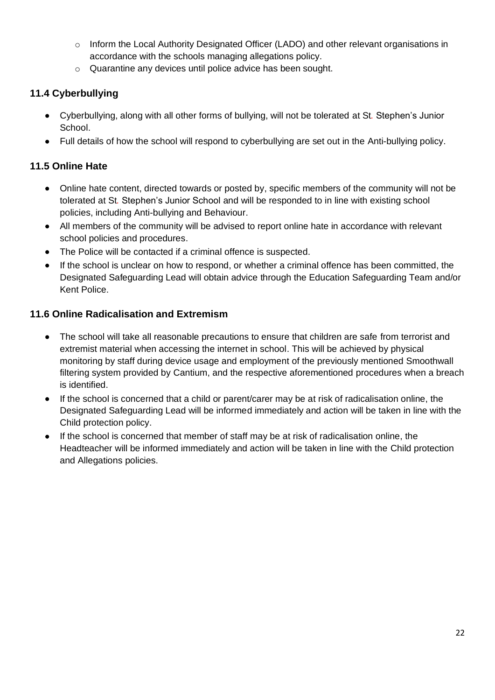- o Inform the Local Authority Designated Officer (LADO) and other relevant organisations in accordance with the schools managing allegations policy.
- o Quarantine any devices until police advice has been sought.

#### **11.4 Cyberbullying**

- Cyberbullying, along with all other forms of bullying, will not be tolerated at St*.* Stephen's Junior School.
- Full details of how the school will respond to cyberbullying are set out in the Anti-bullying policy.

#### **11.5 Online Hate**

- Online hate content, directed towards or posted by, specific members of the community will not be tolerated at St*.* Stephen's Junior School and will be responded to in line with existing school policies, including Anti-bullying and Behaviour.
- All members of the community will be advised to report online hate in accordance with relevant school policies and procedures.
- The Police will be contacted if a criminal offence is suspected.
- If the school is unclear on how to respond, or whether a criminal offence has been committed, the Designated Safeguarding Lead will obtain advice through the Education Safeguarding Team and/or Kent Police.

#### **11.6 Online Radicalisation and Extremism**

- The school will take all reasonable precautions to ensure that children are safe from terrorist and extremist material when accessing the internet in school. This will be achieved by physical monitoring by staff during device usage and employment of the previously mentioned Smoothwall filtering system provided by Cantium, and the respective aforementioned procedures when a breach is identified.
- If the school is concerned that a child or parent/carer may be at risk of radicalisation online, the Designated Safeguarding Lead will be informed immediately and action will be taken in line with the Child protection policy.
- If the school is concerned that member of staff may be at risk of radicalisation online, the Headteacher will be informed immediately and action will be taken in line with the Child protection and Allegations policies.